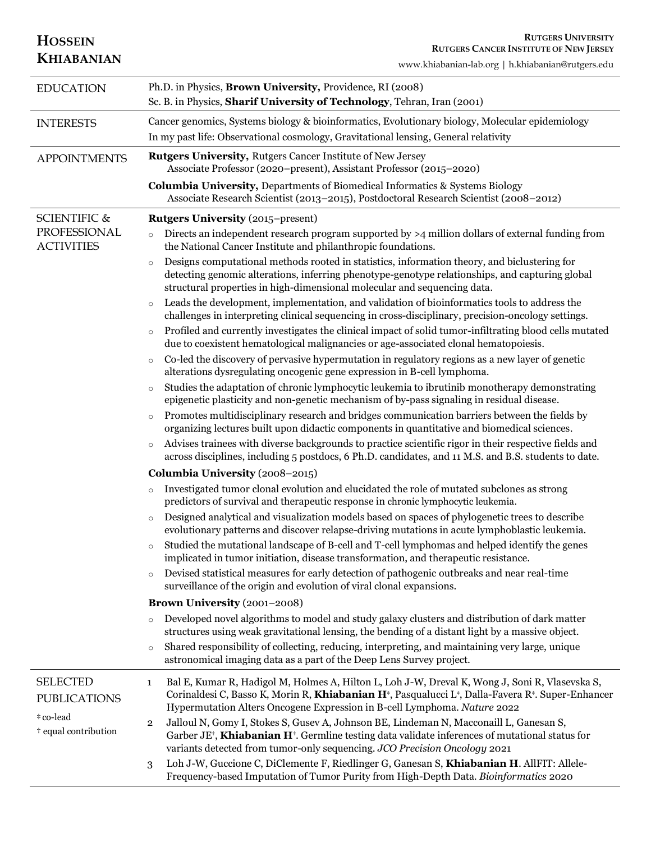| <b>HOSSEIN</b><br><b>KHIABANIAN</b>         | <b>RUTGERS UNIVERSITY</b><br><b>RUTGERS CANCER INSTITUTE OF NEW JERSEY</b><br>www.khiabanian-lab.org   h.khiabanian@rutgers.edu                                                                                                                                                                                               |
|---------------------------------------------|-------------------------------------------------------------------------------------------------------------------------------------------------------------------------------------------------------------------------------------------------------------------------------------------------------------------------------|
| <b>EDUCATION</b>                            | Ph.D. in Physics, Brown University, Providence, RI (2008)<br>Sc. B. in Physics, Sharif University of Technology, Tehran, Iran (2001)                                                                                                                                                                                          |
| <b>INTERESTS</b>                            | Cancer genomics, Systems biology & bioinformatics, Evolutionary biology, Molecular epidemiology<br>In my past life: Observational cosmology, Gravitational lensing, General relativity                                                                                                                                        |
| <b>APPOINTMENTS</b>                         | Rutgers University, Rutgers Cancer Institute of New Jersey<br>Associate Professor (2020–present), Assistant Professor (2015–2020)                                                                                                                                                                                             |
|                                             | <b>Columbia University, Departments of Biomedical Informatics &amp; Systems Biology</b><br>Associate Research Scientist (2013-2015), Postdoctoral Research Scientist (2008-2012)                                                                                                                                              |
| <b>SCIENTIFIC &amp;</b>                     | <b>Rutgers University (2015–present)</b>                                                                                                                                                                                                                                                                                      |
| PROFESSIONAL<br><b>ACTIVITIES</b>           | Directs an independent research program supported by $>4$ million dollars of external funding from<br>$\circ$<br>the National Cancer Institute and philanthropic foundations.                                                                                                                                                 |
|                                             | Designs computational methods rooted in statistics, information theory, and biclustering for<br>$\circ$<br>detecting genomic alterations, inferring phenotype-genotype relationships, and capturing global<br>structural properties in high-dimensional molecular and sequencing data.                                        |
|                                             | Leads the development, implementation, and validation of bioinformatics tools to address the<br>$\circ$<br>challenges in interpreting clinical sequencing in cross-disciplinary, precision-oncology settings.                                                                                                                 |
|                                             | Profiled and currently investigates the clinical impact of solid tumor-infiltrating blood cells mutated<br>$\circ$<br>due to coexistent hematological malignancies or age-associated clonal hematopoiesis.                                                                                                                    |
|                                             | Co-led the discovery of pervasive hypermutation in regulatory regions as a new layer of genetic<br>$\circ$<br>alterations dysregulating oncogenic gene expression in B-cell lymphoma.                                                                                                                                         |
|                                             | Studies the adaptation of chronic lymphocytic leukemia to ibrutinib monotherapy demonstrating<br>$\circ$<br>epigenetic plasticity and non-genetic mechanism of by-pass signaling in residual disease.                                                                                                                         |
|                                             | Promotes multidisciplinary research and bridges communication barriers between the fields by<br>$\circ$<br>organizing lectures built upon didactic components in quantitative and biomedical sciences.                                                                                                                        |
|                                             | Advises trainees with diverse backgrounds to practice scientific rigor in their respective fields and<br>$\circ$<br>across disciplines, including 5 postdocs, 6 Ph.D. candidates, and 11 M.S. and B.S. students to date.                                                                                                      |
|                                             | Columbia University (2008-2015)                                                                                                                                                                                                                                                                                               |
|                                             | Investigated tumor clonal evolution and elucidated the role of mutated subclones as strong<br>$\circ$<br>predictors of survival and therapeutic response in chronic lymphocytic leukemia.                                                                                                                                     |
|                                             | Designed analytical and visualization models based on spaces of phylogenetic trees to describe<br>$\circ$<br>evolutionary patterns and discover relapse-driving mutations in acute lymphoblastic leukemia.                                                                                                                    |
|                                             | Studied the mutational landscape of B-cell and T-cell lymphomas and helped identify the genes<br>$\circ$<br>implicated in tumor initiation, disease transformation, and therapeutic resistance.                                                                                                                               |
|                                             | Devised statistical measures for early detection of pathogenic outbreaks and near real-time<br>$\circ$<br>surveillance of the origin and evolution of viral clonal expansions.                                                                                                                                                |
|                                             | Brown University (2001-2008)                                                                                                                                                                                                                                                                                                  |
|                                             | Developed novel algorithms to model and study galaxy clusters and distribution of dark matter<br>$\circ$<br>structures using weak gravitational lensing, the bending of a distant light by a massive object.                                                                                                                  |
|                                             | Shared responsibility of collecting, reducing, interpreting, and maintaining very large, unique<br>$\circ$<br>astronomical imaging data as a part of the Deep Lens Survey project.                                                                                                                                            |
| <b>SELECTED</b><br><b>PUBLICATIONS</b>      | Bal E, Kumar R, Hadigol M, Holmes A, Hilton L, Loh J-W, Dreval K, Wong J, Soni R, Vlasevska S,<br>1<br>Corinaldesi C, Basso K, Morin R, Khiabanian H <sup>*</sup> , Pasqualucci L <sup>*</sup> , Dalla-Favera R <sup>*</sup> . Super-Enhancer<br>Hypermutation Alters Oncogene Expression in B-cell Lymphoma. Nature 2022     |
| #co-lead<br><sup>†</sup> equal contribution | Jalloul N, Gomy I, Stokes S, Gusev A, Johnson BE, Lindeman N, Macconaill L, Ganesan S,<br>$\overline{\mathbf{2}}$<br>Garber JE <sup><math>*</math></sup> , Khiabanian H $*$ . Germline testing data validate inferences of mutational status for<br>variants detected from tumor-only sequencing. JCO Precision Oncology 2021 |
|                                             | Loh J-W, Guccione C, DiClemente F, Riedlinger G, Ganesan S, Khiabanian H. AllFIT: Allele-<br>3<br>Frequency-based Imputation of Tumor Purity from High-Depth Data. Bioinformatics 2020                                                                                                                                        |